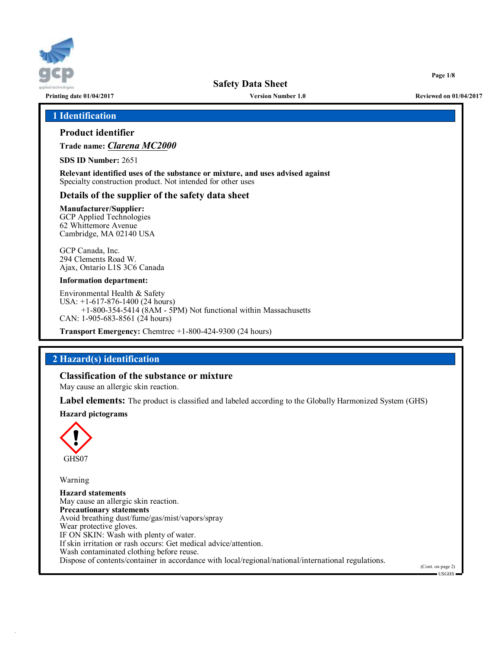

**Printing date 01/04/2017 Version Number 1.0 Reviewed on 01/04/2017**

**Page 1/8**

### **1 Identification**

## **Product identifier**

**Trade name:** *Clarena MC2000*

**SDS ID Number:** 2651

**Relevant identified uses of the substance or mixture, and uses advised against** Specialty construction product. Not intended for other uses

### **Details of the supplier of the safety data sheet**

#### **Manufacturer/Supplier:** GCP Applied Technologies 62 Whittemore Avenue Cambridge, MA 02140 USA

GCP Canada, Inc. 294 Clements Road W. Ajax, Ontario L1S 3C6 Canada

#### **Information department:**

Environmental Health & Safety USA: +1-617-876-1400 (24 hours) +1-800-354-5414 (8AM - 5PM) Not functional within Massachusetts CAN: 1-905-683-8561 (24 hours)

**Transport Emergency:** Chemtrec +1-800-424-9300 (24 hours)

### **2 Hazard(s) identification**

### **Classification of the substance or mixture**

May cause an allergic skin reaction.

**Label elements:** The product is classified and labeled according to the Globally Harmonized System (GHS)

### **Hazard pictograms**



Warning

**Hazard statements** May cause an allergic skin reaction. **Precautionary statements** Avoid breathing dust/fume/gas/mist/vapors/spray Wear protective gloves. IF ON SKIN: Wash with plenty of water. If skin irritation or rash occurs: Get medical advice/attention. Wash contaminated clothing before reuse. Dispose of contents/container in accordance with local/regional/national/international regulations.

(Cont. on page 2)  $-IISGHS$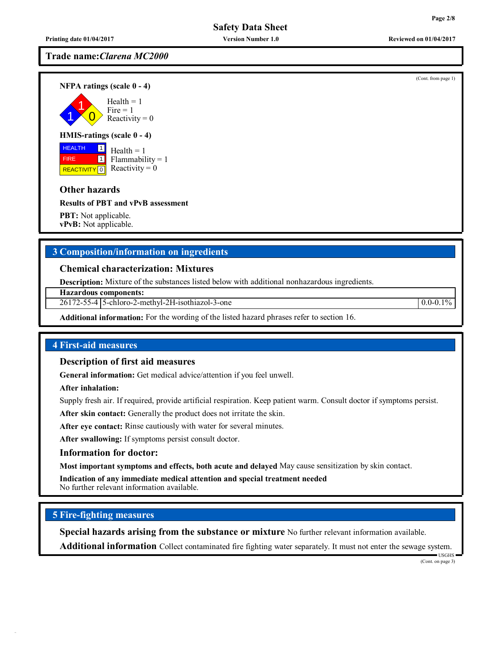**Trade name:***Clarena MC2000*

**NFPA ratings (scale 0 - 4)**

1 1  $\overline{0}$  $Health = 1$  $Fire = 1$ Reactivity  $= 0$ 

### **HMIS-ratings (scale 0 - 4)**

**HEALTH**  FIRE REACTIVITY  $\boxed{0}$  Reactivity = 0 1  $\overline{1}$  $Health = 1$  $Flammability = 1$ 

## **Other hazards**

**Results of PBT and vPvB assessment**

**PBT:** Not applicable. **vPvB:** Not applicable.

## **3 Composition/information on ingredients**

**Chemical characterization: Mixtures**

**Description:** Mixture of the substances listed below with additional nonhazardous ingredients.

**Hazardous components:**

26172-55-4 5-chloro-2-methyl-2H-isothiazol-3-one 0.0-0.1%

**Additional information:** For the wording of the listed hazard phrases refer to section 16.

## **4 First-aid measures**

### **Description of first aid measures**

**General information:** Get medical advice/attention if you feel unwell.

**After inhalation:**

Supply fresh air. If required, provide artificial respiration. Keep patient warm. Consult doctor if symptoms persist.

**After skin contact:** Generally the product does not irritate the skin.

**After eye contact:** Rinse cautiously with water for several minutes.

**After swallowing:** If symptoms persist consult doctor.

## **Information for doctor:**

**Most important symptoms and effects, both acute and delayed** May cause sensitization by skin contact.

**Indication of any immediate medical attention and special treatment needed** No further relevant information available.

## **5 Fire-fighting measures**

**Special hazards arising from the substance or mixture** No further relevant information available.

**Additional information** Collect contaminated fire fighting water separately. It must not enter the sewage system.

USGHS (Cont. on page 3)

(Cont. from page 1)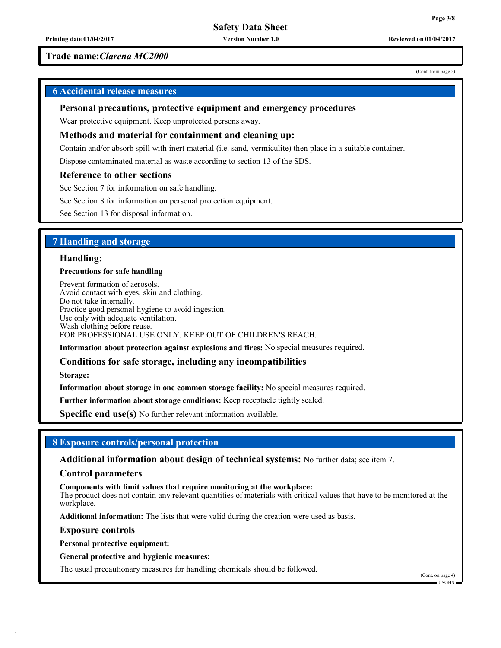### **Trade name:***Clarena MC2000*

## **6 Accidental release measures**

#### **Personal precautions, protective equipment and emergency procedures**

Wear protective equipment. Keep unprotected persons away.

#### **Methods and material for containment and cleaning up:**

Contain and/or absorb spill with inert material (i.e. sand, vermiculite) then place in a suitable container.

Dispose contaminated material as waste according to section 13 of the SDS.

#### **Reference to other sections**

See Section 7 for information on safe handling.

See Section 8 for information on personal protection equipment.

See Section 13 for disposal information.

### **7 Handling and storage**

#### **Handling:**

#### **Precautions for safe handling**

Prevent formation of aerosols. Avoid contact with eyes, skin and clothing. Do not take internally. Practice good personal hygiene to avoid ingestion. Use only with adequate ventilation. Wash clothing before reuse. FOR PROFESSIONAL USE ONLY. KEEP OUT OF CHILDREN'S REACH.

**Information about protection against explosions and fires:** No special measures required.

#### **Conditions for safe storage, including any incompatibilities**

**Storage:**

**Information about storage in one common storage facility:** No special measures required.

**Further information about storage conditions:** Keep receptacle tightly sealed.

**Specific end use(s)** No further relevant information available.

### **8 Exposure controls/personal protection**

**Additional information about design of technical systems:** No further data; see item 7.

#### **Control parameters**

**Components with limit values that require monitoring at the workplace:**

The product does not contain any relevant quantities of materials with critical values that have to be monitored at the workplace.

**Additional information:** The lists that were valid during the creation were used as basis.

**Exposure controls**

**Personal protective equipment:**

**General protective and hygienic measures:**

The usual precautionary measures for handling chemicals should be followed.

(Cont. from page 2)

**Page 3/8**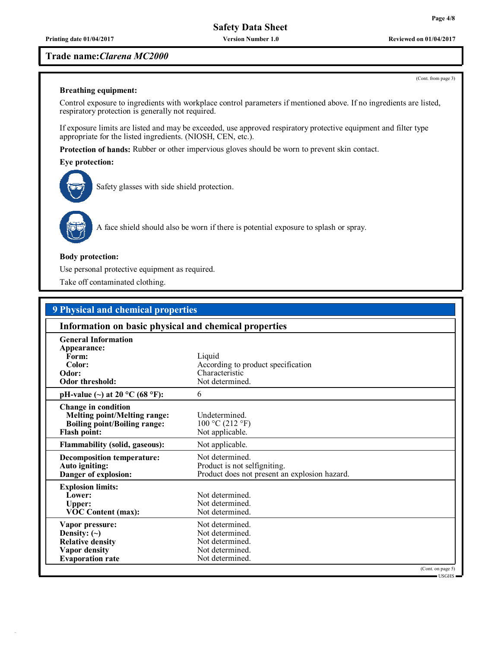**Printing date 01/04/2017 Version Number 1.0 Reviewed on 01/04/2017**

#### **Trade name:***Clarena MC2000*

**Breathing equipment:**

Control exposure to ingredients with workplace control parameters if mentioned above. If no ingredients are listed, respiratory protection is generally not required.

If exposure limits are listed and may be exceeded, use approved respiratory protective equipment and filter type appropriate for the listed ingredients. (NIOSH, CEN, etc.).

**Protection of hands:** Rubber or other impervious gloves should be worn to prevent skin contact.

#### **Eye protection:**



Safety glasses with side shield protection.



A face shield should also be worn if there is potential exposure to splash or spray.

#### **Body protection:**

Use personal protective equipment as required.

Take off contaminated clothing.

| <b>9 Physical and chemical properties</b>                  |                                               |  |  |  |  |
|------------------------------------------------------------|-----------------------------------------------|--|--|--|--|
| Information on basic physical and chemical properties      |                                               |  |  |  |  |
| <b>General Information</b>                                 |                                               |  |  |  |  |
| Appearance:                                                |                                               |  |  |  |  |
| Form:                                                      | Liquid                                        |  |  |  |  |
| Color:                                                     | According to product specification            |  |  |  |  |
| Odor:                                                      | Characteristic                                |  |  |  |  |
| <b>Odor threshold:</b>                                     | Not determined.                               |  |  |  |  |
| pH-value (~) at 20 $^{\circ}$ C (68 $^{\circ}$ F):         | 6                                             |  |  |  |  |
| Change in condition<br><b>Melting point/Melting range:</b> | Undetermined.                                 |  |  |  |  |
| <b>Boiling point/Boiling range:</b>                        | 100 °C (212 °F)                               |  |  |  |  |
| <b>Flash point:</b>                                        | Not applicable.                               |  |  |  |  |
| <b>Flammability (solid, gaseous):</b>                      | Not applicable.                               |  |  |  |  |
| <b>Decomposition temperature:</b>                          | Not determined.                               |  |  |  |  |
| Auto igniting:                                             | Product is not selfigniting.                  |  |  |  |  |
| Danger of explosion:                                       | Product does not present an explosion hazard. |  |  |  |  |
| <b>Explosion limits:</b>                                   |                                               |  |  |  |  |
| Lower:                                                     | Not determined.                               |  |  |  |  |
| Upper:                                                     | Not determined.                               |  |  |  |  |
| <b>VOC Content (max):</b>                                  | Not determined.                               |  |  |  |  |
| Vapor pressure:                                            | Not determined.                               |  |  |  |  |
| Density: $(\sim)$                                          | Not determined.                               |  |  |  |  |
| <b>Relative density</b>                                    | Not determined.                               |  |  |  |  |
| Vapor density                                              | Not determined.                               |  |  |  |  |
| <b>Evaporation</b> rate                                    | Not determined.                               |  |  |  |  |
|                                                            | (Cont. on page 5)                             |  |  |  |  |
|                                                            | = USGHS =                                     |  |  |  |  |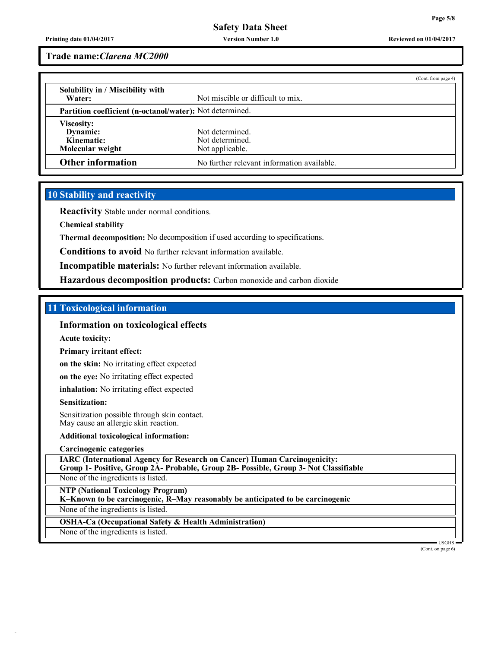**Printing date 01/04/2017 Version Number 1.0 Reviewed on 01/04/2017**

**Trade name:***Clarena MC2000*

|                                  |                                                          | (Cont. from page 4) |  |
|----------------------------------|----------------------------------------------------------|---------------------|--|
| Solubility in / Miscibility with |                                                          |                     |  |
| Water:                           | Not miscible or difficult to mix.                        |                     |  |
|                                  | Partition coefficient (n-octanol/water): Not determined. |                     |  |
| Viscosity:                       |                                                          |                     |  |
| Dynamic:                         | Not determined.                                          |                     |  |
| Kinematic:                       | Not determined.                                          |                     |  |
| Molecular weight                 | Not applicable.                                          |                     |  |
| <b>Other information</b>         | No further relevant information available.               |                     |  |

## **10 Stability and reactivity**

**Reactivity** Stable under normal conditions.

**Chemical stability**

**Thermal decomposition:** No decomposition if used according to specifications.

**Conditions to avoid** No further relevant information available.

**Incompatible materials:** No further relevant information available.

**Hazardous decomposition products:** Carbon monoxide and carbon dioxide

#### **11 Toxicological information**

## **Information on toxicological effects**

**Acute toxicity:**

**Primary irritant effect:**

**on the skin:** No irritating effect expected

**on the eye:** No irritating effect expected

**inhalation:** No irritating effect expected

#### **Sensitization:**

Sensitization possible through skin contact. May cause an allergic skin reaction.

#### **Additional toxicological information:**

**Carcinogenic categories**

**IARC (International Agency for Research on Cancer) Human Carcinogenicity: Group 1- Positive, Group 2A- Probable, Group 2B- Possible, Group 3- Not Classifiable**

None of the ingredients is listed.

**NTP (National Toxicology Program)**

**K–Known to be carcinogenic, R–May reasonably be anticipated to be carcinogenic**

None of the ingredients is listed.

**OSHA-Ca (Occupational Safety & Health Administration)**

None of the ingredients is listed.

(Cont. on page 6)

USGHS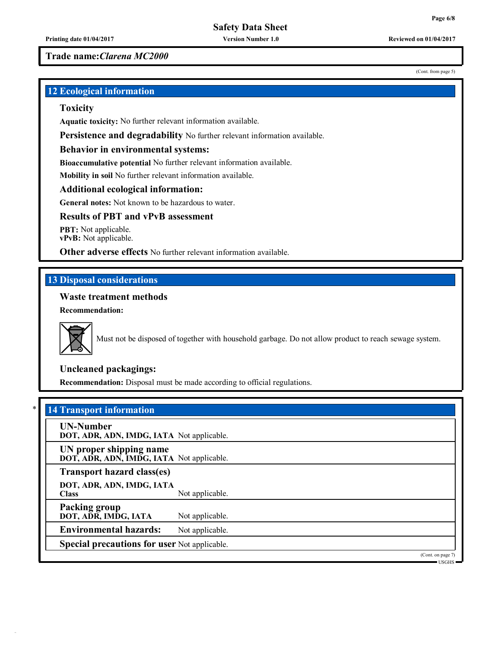(Cont. from page 5)

**Trade name:***Clarena MC2000*

**12 Ecological information**

## **Toxicity**

**Aquatic toxicity:** No further relevant information available.

**Persistence and degradability** No further relevant information available.

#### **Behavior in environmental systems:**

**Bioaccumulative potential** No further relevant information available.

**Mobility in soil** No further relevant information available.

## **Additional ecological information:**

**General notes:** Not known to be hazardous to water.

## **Results of PBT and vPvB assessment**

**PBT:** Not applicable. **vPvB:** Not applicable.

**Other adverse effects** No further relevant information available.

## **13 Disposal considerations**

## **Waste treatment methods**

**Recommendation:**



Must not be disposed of together with household garbage. Do not allow product to reach sewage system.

## **Uncleaned packagings:**

**Recommendation:** Disposal must be made according to official regulations.

|  | * 14 Transport information |  |  |
|--|----------------------------|--|--|
|--|----------------------------|--|--|

| <b>UN-Number</b><br>DOT, ADR, ADN, IMDG, IATA Not applicable.        |                 |                                                          |
|----------------------------------------------------------------------|-----------------|----------------------------------------------------------|
| UN proper shipping name<br>DOT, ADR, ADN, IMDG, IATA Not applicable. |                 |                                                          |
| Transport hazard class(es)                                           |                 |                                                          |
| DOT, ADR, ADN, IMDG, IATA<br><b>Class</b>                            | Not applicable. |                                                          |
| <b>Packing group</b><br>DOT, ADR, IMDG, IATA                         | Not applicable. |                                                          |
| <b>Environmental hazards:</b>                                        | Not applicable. |                                                          |
| <b>Special precautions for user Not applicable.</b>                  |                 |                                                          |
|                                                                      |                 | (Cont. on page 7)<br>$\blacksquare$ USGHS $\blacksquare$ |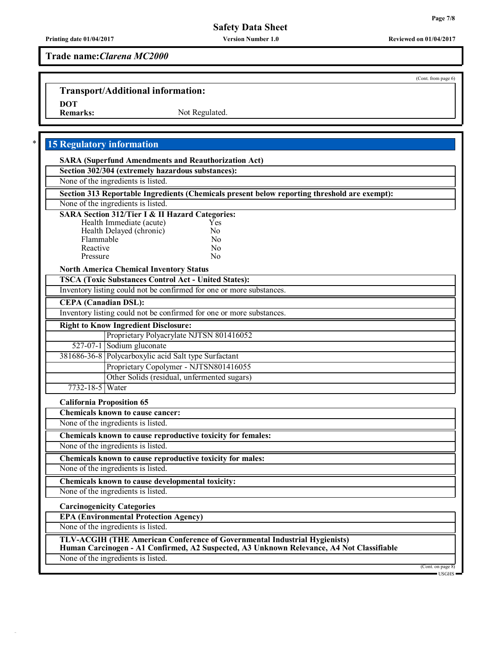(Cont. from page 6)

## **Safety Data Sheet**

## **Trade name:***Clarena MC2000*

# **Transport/Additional information:**

DOT<br>Remarks:

Not Regulated.

## \* **15 Regulatory information**

| <b>SARA (Superfund Amendments and Reauthorization Act)</b>                                   |  |
|----------------------------------------------------------------------------------------------|--|
| Section 302/304 (extremely hazardous substances):                                            |  |
| None of the ingredients is listed.                                                           |  |
| Section 313 Reportable Ingredients (Chemicals present below reporting threshold are exempt): |  |
| None of the ingredients is listed.                                                           |  |
| <b>SARA Section 312/Tier I &amp; II Hazard Categories:</b>                                   |  |
| Health Immediate (acute)<br>Yes                                                              |  |
| Health Delayed (chronic)<br>N <sub>0</sub><br>Flammable<br>N <sub>0</sub>                    |  |
| Reactive<br>No                                                                               |  |
| Pressure<br>N <sub>0</sub>                                                                   |  |
| <b>North America Chemical Inventory Status</b>                                               |  |
| <b>TSCA (Toxic Substances Control Act - United States):</b>                                  |  |
| Inventory listing could not be confirmed for one or more substances.                         |  |
| <b>CEPA</b> (Canadian DSL):                                                                  |  |
| Inventory listing could not be confirmed for one or more substances.                         |  |
| <b>Right to Know Ingredient Disclosure:</b>                                                  |  |
| Proprietary Polyacrylate NJTSN 801416052                                                     |  |
| 527-07-1 Sodium gluconate                                                                    |  |
| 381686-36-8 Polycarboxylic acid Salt type Surfactant                                         |  |
| Proprietary Copolymer - NJTSN801416055                                                       |  |
| Other Solids (residual, unfermented sugars)                                                  |  |
| 7732-18-5 Water                                                                              |  |
| <b>California Proposition 65</b>                                                             |  |
| <b>Chemicals known to cause cancer:</b>                                                      |  |
| None of the ingredients is listed.                                                           |  |
| Chemicals known to cause reproductive toxicity for females:                                  |  |
| None of the ingredients is listed.                                                           |  |
| Chemicals known to cause reproductive toxicity for males:                                    |  |
| None of the ingredients is listed.                                                           |  |
| Chemicals known to cause developmental toxicity:                                             |  |
| None of the ingredients is listed.                                                           |  |
| <b>Carcinogenicity Categories</b>                                                            |  |
| <b>EPA (Environmental Protection Agency)</b>                                                 |  |
| None of the ingredients is listed.                                                           |  |
| TLV-ACGIH (THE American Conference of Governmental Industrial Hygienists)                    |  |
| Human Carcinogen - A1 Confirmed, A2 Suspected, A3 Unknown Relevance, A4 Not Classifiable     |  |
| None of the ingredients is listed.<br>(Cont. on page 8)                                      |  |
|                                                                                              |  |

USGHS

**Printing date 01/04/2017 Version Number 1.0 Reviewed on 01/04/2017**